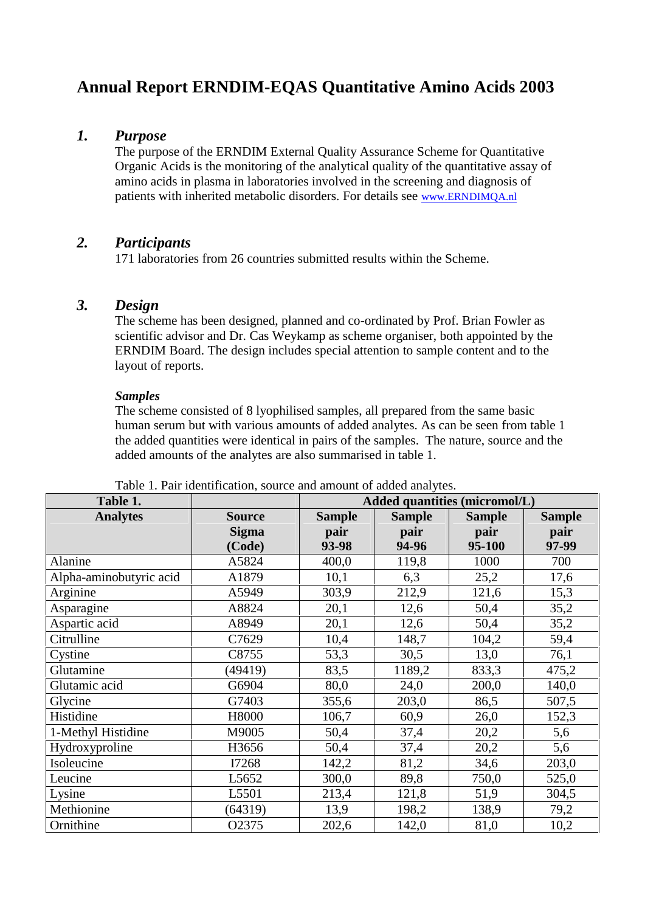# **Annual Report ERNDIM-EQAS Quantitative Amino Acids 2003**

### *1. Purpose*

The purpose of the ERNDIM External Quality Assurance Scheme for Quantitative Organic Acids is the monitoring of the analytical quality of the quantitative assay of amino acids in plasma in laboratories involved in the screening and diagnosis of patients with inherited metabolic disorders. For details see www.ERNDIMQA.nl

# *2. Participants*

171 laboratories from 26 countries submitted results within the Scheme.

# *3. Design*

The scheme has been designed, planned and co-ordinated by Prof. Brian Fowler as scientific advisor and Dr. Cas Weykamp as scheme organiser, both appointed by the ERNDIM Board. The design includes special attention to sample content and to the layout of reports.

### *Samples*

The scheme consisted of 8 lyophilised samples, all prepared from the same basic human serum but with various amounts of added analytes. As can be seen from table 1 the added quantities were identical in pairs of the samples. The nature, source and the added amounts of the analytes are also summarised in table 1.

| Table 1.                |                               | Added quantities (micromol/L) |                       |                       |                       |  |
|-------------------------|-------------------------------|-------------------------------|-----------------------|-----------------------|-----------------------|--|
| <b>Analytes</b>         | <b>Source</b><br><b>Sigma</b> | <b>Sample</b><br>pair         | <b>Sample</b><br>pair | <b>Sample</b><br>pair | <b>Sample</b><br>pair |  |
| Alanine                 | (Code)                        | 93-98                         | 94-96                 | 95-100                | 97-99                 |  |
|                         | A5824                         | 400,0                         | 119,8                 | 1000                  | 700                   |  |
| Alpha-aminobutyric acid | A1879                         | 10,1                          | 6,3                   | 25,2                  | 17,6                  |  |
| Arginine                | A5949                         | 303,9                         | 212,9                 | 121,6                 | 15,3                  |  |
| Asparagine              | A8824                         | 20,1                          | 12,6                  | 50,4                  | 35,2                  |  |
| Aspartic acid           | A8949                         | 20,1                          | 12,6                  | 50,4                  | 35,2                  |  |
| Citrulline              | C7629                         | 10,4                          | 148,7                 | 104,2                 | 59,4                  |  |
| Cystine                 | C8755                         | 53,3                          | 30,5                  | 13,0                  | 76,1                  |  |
| Glutamine               | (49419)                       | 83,5                          | 1189,2                | 833,3                 | 475,2                 |  |
| Glutamic acid           | G6904                         | 80,0                          | 24,0                  | 200,0                 | 140,0                 |  |
| Glycine                 | G7403                         | 355,6                         | 203,0                 | 86,5                  | 507,5                 |  |
| Histidine               | H8000                         | 106,7                         | 60,9                  | 26,0                  | 152,3                 |  |
| 1-Methyl Histidine      | M9005                         | 50,4                          | 37,4                  | 20,2                  | 5,6                   |  |
| Hydroxyproline          | H3656                         | 50,4                          | 37,4                  | 20,2                  | 5,6                   |  |
| Isoleucine              | I7268                         | 142,2                         | 81,2                  | 34,6                  | 203,0                 |  |
| Leucine                 | L <sub>5652</sub>             | 300,0                         | 89,8                  | 750,0                 | 525,0                 |  |
| Lysine                  | L5501                         | 213,4                         | 121,8                 | 51,9                  | 304,5                 |  |
| Methionine              | (64319)                       | 13,9                          | 198,2                 | 138,9                 | 79,2                  |  |
| Ornithine               | O2375                         | 202,6                         | 142,0                 | 81,0                  | 10,2                  |  |

Table 1. Pair identification, source and amount of added analytes.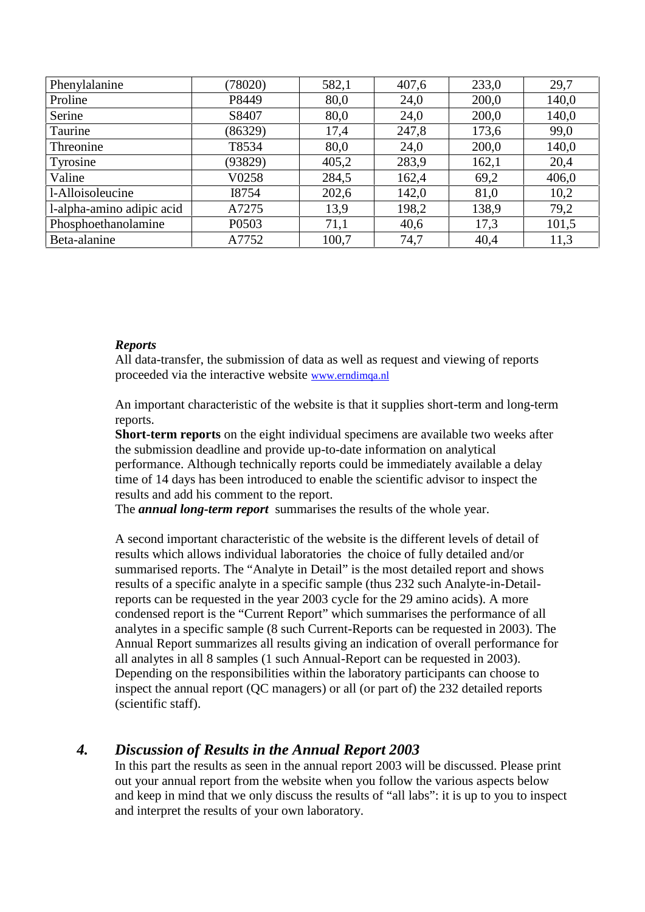| Phenylalanine             | (78020) | 582,1 | 407,6 | 233,0 | 29,7  |
|---------------------------|---------|-------|-------|-------|-------|
| Proline                   | P8449   | 80,0  | 24,0  | 200,0 | 140,0 |
| Serine                    | S8407   | 80,0  | 24,0  | 200,0 | 140,0 |
| Taurine                   | (86329) | 17,4  | 247,8 | 173,6 | 99,0  |
| Threonine                 | T8534   | 80,0  | 24,0  | 200,0 | 140,0 |
| Tyrosine                  | (93829) | 405,2 | 283,9 | 162,1 | 20,4  |
| Valine                    | V0258   | 284,5 | 162,4 | 69,2  | 406,0 |
| l-Alloisoleucine          | I8754   | 202,6 | 142,0 | 81,0  | 10,2  |
| l-alpha-amino adipic acid | A7275   | 13,9  | 198,2 | 138,9 | 79,2  |
| Phosphoethanolamine       | P0503   | 71,1  | 40,6  | 17,3  | 101,5 |
| Beta-alanine              | A7752   | 100,7 | 74,7  | 40,4  | 11,3  |

### *Reports*

All data-transfer, the submission of data as well as request and viewing of reports proceeded via the interactive website www.erndimqa.nl

An important characteristic of the website is that it supplies short-term and long-term reports.

**Short-term reports** on the eight individual specimens are available two weeks after the submission deadline and provide up-to-date information on analytical performance. Although technically reports could be immediately available a delay time of 14 days has been introduced to enable the scientific advisor to inspect the results and add his comment to the report.

The *annual long-term report* summarises the results of the whole year.

A second important characteristic of the website is the different levels of detail of results which allows individual laboratories the choice of fully detailed and/or summarised reports. The "Analyte in Detail" is the most detailed report and shows results of a specific analyte in a specific sample (thus 232 such Analyte-in-Detailreports can be requested in the year 2003 cycle for the 29 amino acids). A more condensed report is the "Current Report" which summarises the performance of all analytes in a specific sample (8 such Current-Reports can be requested in 2003). The Annual Report summarizes all results giving an indication of overall performance for all analytes in all 8 samples (1 such Annual-Report can be requested in 2003). Depending on the responsibilities within the laboratory participants can choose to inspect the annual report (QC managers) or all (or part of) the 232 detailed reports (scientific staff).

# *4. Discussion of Results in the Annual Report 2003*

In this part the results as seen in the annual report 2003 will be discussed. Please print out your annual report from the website when you follow the various aspects below and keep in mind that we only discuss the results of "all labs": it is up to you to inspect and interpret the results of your own laboratory.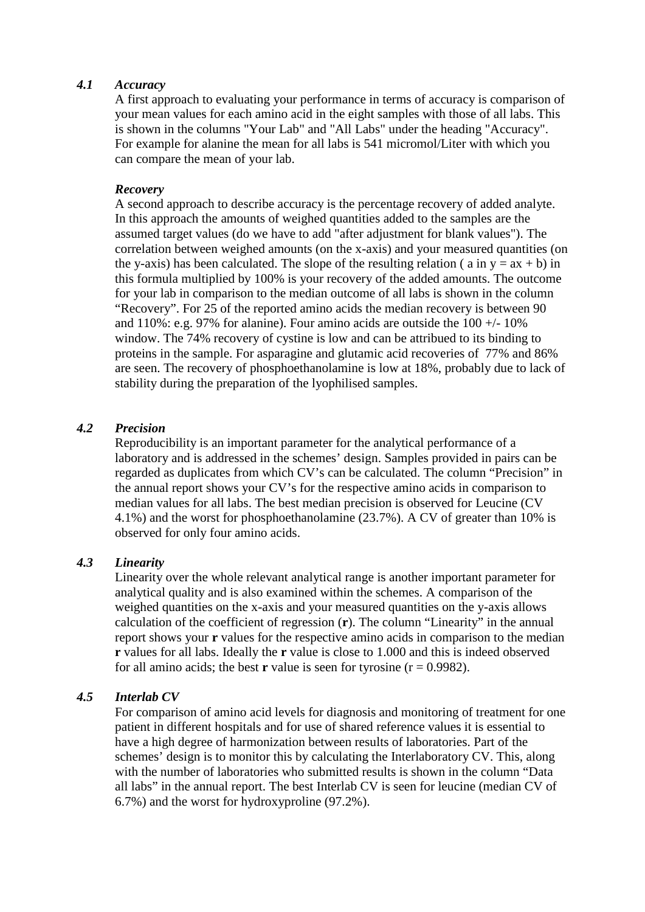### *4.1 Accuracy*

A first approach to evaluating your performance in terms of accuracy is comparison of your mean values for each amino acid in the eight samples with those of all labs. This is shown in the columns "Your Lab" and "All Labs" under the heading "Accuracy". For example for alanine the mean for all labs is 541 micromol/Liter with which you can compare the mean of your lab.

#### *Recovery*

A second approach to describe accuracy is the percentage recovery of added analyte. In this approach the amounts of weighed quantities added to the samples are the assumed target values (do we have to add "after adjustment for blank values"). The correlation between weighed amounts (on the x-axis) and your measured quantities (on the y-axis) has been calculated. The slope of the resulting relation ( a in  $y = ax + b$ ) in this formula multiplied by 100% is your recovery of the added amounts. The outcome for your lab in comparison to the median outcome of all labs is shown in the column "Recovery". For 25 of the reported amino acids the median recovery is between 90 and 110%: e.g. 97% for alanine). Four amino acids are outside the  $100 +10\%$ window. The 74% recovery of cystine is low and can be attribued to its binding to proteins in the sample. For asparagine and glutamic acid recoveries of 77% and 86% are seen. The recovery of phosphoethanolamine is low at 18%, probably due to lack of stability during the preparation of the lyophilised samples.

#### *4.2 Precision*

Reproducibility is an important parameter for the analytical performance of a laboratory and is addressed in the schemes' design. Samples provided in pairs can be regarded as duplicates from which CV's can be calculated. The column "Precision" in the annual report shows your CV's for the respective amino acids in comparison to median values for all labs. The best median precision is observed for Leucine (CV 4.1%) and the worst for phosphoethanolamine (23.7%). A CV of greater than 10% is observed for only four amino acids.

#### *4.3 Linearity*

Linearity over the whole relevant analytical range is another important parameter for analytical quality and is also examined within the schemes. A comparison of the weighed quantities on the x-axis and your measured quantities on the y-axis allows calculation of the coefficient of regression (**r**). The column "Linearity" in the annual report shows your **r** values for the respective amino acids in comparison to the median **r** values for all labs. Ideally the **r** value is close to 1.000 and this is indeed observed for all amino acids; the best **r** value is seen for tyrosine  $(r = 0.9982)$ .

#### *4.5 Interlab CV*

For comparison of amino acid levels for diagnosis and monitoring of treatment for one patient in different hospitals and for use of shared reference values it is essential to have a high degree of harmonization between results of laboratories. Part of the schemes' design is to monitor this by calculating the Interlaboratory CV. This, along with the number of laboratories who submitted results is shown in the column "Data" all labs" in the annual report. The best Interlab CV is seen for leucine (median CV of 6.7%) and the worst for hydroxyproline (97.2%).